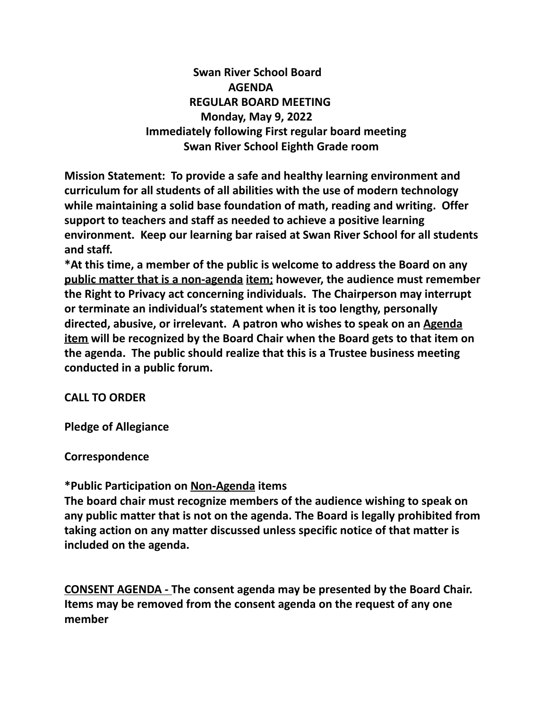**Swan River School Board AGENDA REGULAR BOARD MEETING Monday, May 9, 2022 Immediately following First regular board meeting Swan River School Eighth Grade room**

**Mission Statement: To provide a safe and healthy learning environment and curriculum for all students of all abilities with the use of modern technology while maintaining a solid base foundation of math, reading and writing. Offer support to teachers and staff as needed to achieve a positive learning environment. Keep our learning bar raised at Swan River School for all students and staff.**

**\*At this time, a member of the public is welcome to address the Board on any public matter that is a non-agenda item; however, the audience must remember the Right to Privacy act concerning individuals. The Chairperson may interrupt or terminate an individual's statement when it is too lengthy, personally directed, abusive, or irrelevant. A patron who wishes to speak on an Agenda item will be recognized by the Board Chair when the Board gets to that item on the agenda. The public should realize that this is a Trustee business meeting conducted in a public forum.**

## **CALL TO ORDER**

**Pledge of Allegiance**

**Correspondence**

## **\*Public Participation on Non-Agenda items**

**The board chair must recognize members of the audience wishing to speak on any public matter that is not on the agenda. The Board is legally prohibited from taking action on any matter discussed unless specific notice of that matter is included on the agenda.**

**CONSENT AGENDA - The consent agenda may be presented by the Board Chair. Items may be removed from the consent agenda on the request of any one member**